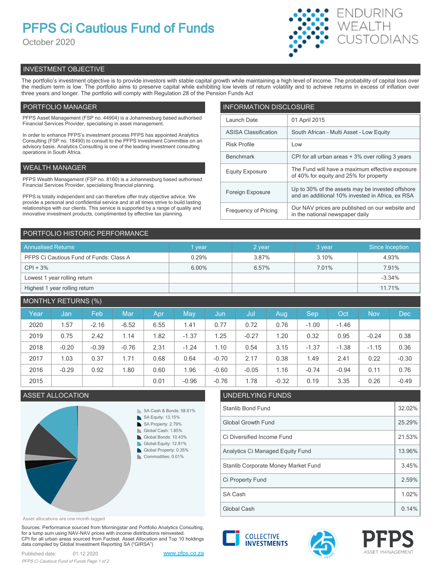# **PFPS Ci Cautious Fund of Funds**

October 2020



# INVESTMENT OBJECTIVE

The portfolio's investment objective is to provide investors with stable capital growth while maintaining a high level of income. The probability of capital loss over the medium term is low. The portfolio aims to preserve capital while exhibiting low levels of return volatility and to achieve returns in excess of inflation over three years and longer. The portfolio will comply with Regulation 28 of the Pension Funds Act

# PORTFOLIO MANAGER

PFPS Asset Management (FSP no. 44904) is a Johannesburg based authorised Financial Services Provider, specialising in asset management.

In order to enhance PFPS's investment process PFPS has appointed Analytics Consulting (FSP no. 18490) to consult to the PFPS Investment Committee on an advisory basis. Analytics Consulting is one of the leading investment consulting operations in South Africa.

# WEALTH MANAGER

PFPS Wealth Management (FSP no. 8160) is a Johannesburg based authorised Financial Services Provider, specialising financial planning.

PFPS is totally independent and can therefore offer truly objective advice. We provide a personal and confidential service and at all times strive to build lasting relationships with our clients. This service is supported by a range of quality and innovative investment products, complimented by effective tax planning.

| <b>INFORMATION DISCLOSURE</b> |                                                                                                      |  |  |  |  |
|-------------------------------|------------------------------------------------------------------------------------------------------|--|--|--|--|
| Launch Date                   | 01 April 2015                                                                                        |  |  |  |  |
| <b>ASISA Classification</b>   | South African - Multi Asset - Low Equity                                                             |  |  |  |  |
| <b>Risk Profile</b>           | Low                                                                                                  |  |  |  |  |
| <b>Benchmark</b>              | CPI for all urban areas + 3% over rolling 3 years                                                    |  |  |  |  |
| <b>Equity Exposure</b>        | The Fund will have a maximum effective exposure<br>of 40% for equity and 25% for property            |  |  |  |  |
| Foreign Exposure              | Up to 30% of the assets may be invested offshore<br>and an additional 10% invested in Africa, ex RSA |  |  |  |  |
| <b>Frequency of Pricing</b>   | Our NAV prices are published on our website and<br>in the national newspaper daily                   |  |  |  |  |

# PORTFOLIO HISTORIC PERFORMANCE

| <b>Annualised Returns</b>               | vear  | 2 year | 3 year | Since Inception |
|-----------------------------------------|-------|--------|--------|-----------------|
| PFPS Ci Cautious Fund of Funds: Class A | 0.29% | 3.87%  | 3.10%  | 4.93%           |
| $CPI + 3%$                              | 6.00% | 6.57%  | 7.01%  | 7.91%           |
| Lowest 1 year rolling return            |       |        |        | $-3.34%$        |
| Highest 1 year rolling return           |       |        |        | 11.71%          |

# MONTHLY RETURNS (%)

| Year | Jan     | Feb     | Mar     | Apr  | May     | Jun     | Jul     | Aug.    | Sep     | Oct     | <b>Nov</b> | <b>Dec</b> |
|------|---------|---------|---------|------|---------|---------|---------|---------|---------|---------|------------|------------|
| 2020 | 1.57    | $-2.16$ | $-6.52$ | 6.55 | 1.41    | 0.77    | 0.72    | 0.76    | $-1.00$ | $-1.46$ |            |            |
| 2019 | 0.75    | 2.42    | 1.14    | 1.82 | $-1.37$ | 1.25    | $-0.27$ | 1.20    | 0.32    | 0.95    | $-0.24$    | 0.38       |
| 2018 | $-0.20$ | $-0.39$ | $-0.76$ | 2.31 | $-1.24$ | 1.10    | 0.54    | 3.15    | $-1.37$ | $-1.38$ | $-1.15$    | 0.36       |
| 2017 | 1.03    | 0.37    | 1.71    | 0.68 | 0.64    | $-0.70$ | 2.17    | 0.38    | 1.49    | 2.41    | 0.22       | $-0.30$    |
| 2016 | $-0.29$ | 0.92    | 1.80    | 0.60 | 1.96    | $-0.60$ | $-0.05$ | 1.16    | $-0.74$ | $-0.94$ | 0.11       | 0.76       |
| 2015 |         |         |         | 0.01 | $-0.96$ | $-0.76$ | 1.78    | $-0.32$ | 0.19    | 3.35    | 0.26       | $-0.49$    |

# **ASSET ALLOCATION**



| J. 76                               | 1.78              | -0.32 | U. 19 | 3.35 | U.∠b | -0.49 |  |  |
|-------------------------------------|-------------------|-------|-------|------|------|-------|--|--|
|                                     | UNDERLYING FUNDS  |       |       |      |      |       |  |  |
|                                     | Stanlib Bond Fund |       |       |      |      |       |  |  |
| <b>Global Growth Fund</b>           |                   |       |       |      |      |       |  |  |
| Ci Diversified Income Fund          |                   |       |       |      |      |       |  |  |
| Analytics Ci Managed Equity Fund    |                   |       |       |      |      |       |  |  |
| Stanlib Corporate Money Market Fund |                   |       |       |      |      |       |  |  |
|                                     | Ci Property Fund  |       |       |      |      | 2.59% |  |  |
| SA Cash                             |                   |       |       |      |      |       |  |  |
| Global Cash                         |                   |       |       |      |      |       |  |  |

Asset allocations are one month lagged

Sources: Performance sourced from Morningstar and Portfolio Analytics Consulting, for a lump sum using NAV-NAV prices with income distributions reinvested. CPI for all urban areas sourced from Factset. Asset Allocation and Top 10 holdings data compiled by Global Investment Reporting SA ("GIRSA")

Published date: 01.12.2020 [www.pfps.co.za](https://www.pfps.co.za/) *PFPS Ci Cautious Fund of Funds Page 1 of 2*